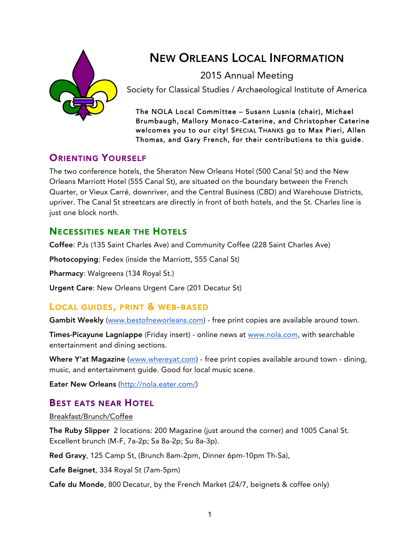

# NEW ORLEANS LOCAL INFORMATION

2015 Annual Meeting

Society for Classical Studies / Archaeological Institute of America

The NOLA Local Committee – Susann Lusnia (chair), Michael Brumbaugh, Mallory Monaco-Caterine, and Christopher Caterine welcomes you to our city! SPECIAL THANKS go to Max Pieri, Allen Thomas, and Gary French, for their contributions to this guide.

# **ORIENTING YOURSELF**

The two conference hotels, the Sheraton New Orleans Hotel (500 Canal St) and the New Orleans Marriott Hotel (555 Canal St), are situated on the boundary between the French Quarter, or Vieux Carré, downriver, and the Central Business (CBD) and Warehouse Districts, upriver. The Canal St streetcars are directly in front of both hotels, and the St. Charles line is just one block north.

## NECESSITIES NEAR THE HOTELS

Coffee: PJs (135 Saint Charles Ave) and Community Coffee (228 Saint Charles Ave)

Photocopying: Fedex (inside the Marriott, 555 Canal St)

Pharmacy: Walgreens (134 Royal St.)

Urgent Care: New Orleans Urgent Care (201 Decatur St)

### LOCAL GUIDES, PRINT & WEB-BASED

Gambit Weekly (www.bestofneworleans.com) - free print copies are available around town.

Times-Picayune Lagniappe (Friday insert) - online news at www.nola.com, with searchable entertainment and dining sections.

Where Y'at Magazine (www.whereyat.com) - free print copies available around town - dining, music, and entertainment guide. Good for local music scene.

Eater New Orleans (http://nola.eater.com/)

# BEST EATS NEAR HOTEL

### Breakfast/Brunch/Coffee

The Ruby Slipper 2 locations: 200 Magazine (just around the corner) and 1005 Canal St. Excellent brunch (M-F, 7a-2p; Sa 8a-2p; Su 8a-3p).

Red Gravy, 125 Camp St, (Brunch 8am-2pm, Dinner 6pm-10pm Th-Sa),

Cafe Beignet, 334 Royal St (7am-5pm)

Cafe du Monde, 800 Decatur, by the French Market (24/7, beignets & coffee only)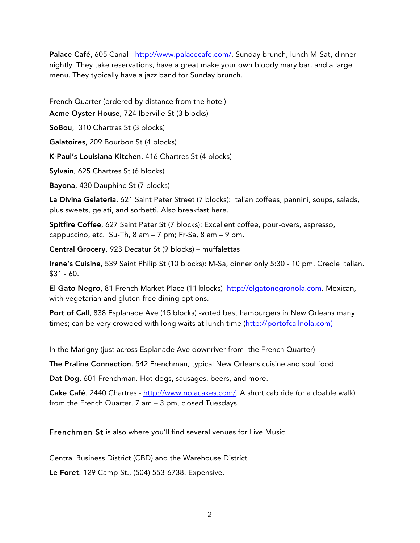Palace Café, 605 Canal - http://www.palacecafe.com/. Sunday brunch, lunch M-Sat, dinner nightly. They take reservations, have a great make your own bloody mary bar, and a large menu. They typically have a jazz band for Sunday brunch.

French Quarter (ordered by distance from the hotel)

Acme Oyster House, 724 Iberville St (3 blocks)

SoBou, 310 Chartres St (3 blocks)

Galatoires, 209 Bourbon St (4 blocks)

K-Paul's Louisiana Kitchen, 416 Chartres St (4 blocks)

Sylvain, 625 Chartres St (6 blocks)

Bayona, 430 Dauphine St (7 blocks)

La Divina Gelateria, 621 Saint Peter Street (7 blocks): Italian coffees, pannini, soups, salads, plus sweets, gelati, and sorbetti. Also breakfast here.

Spitfire Coffee, 627 Saint Peter St (7 blocks): Excellent coffee, pour-overs, espresso, cappuccino, etc. Su-Th,  $8$  am  $-7$  pm; Fr-Sa,  $8$  am  $-9$  pm.

Central Grocery, 923 Decatur St (9 blocks) – muffalettas

Irene's Cuisine, 539 Saint Philip St (10 blocks): M-Sa, dinner only 5:30 - 10 pm. Creole Italian.  $$31 - 60.$ 

El Gato Negro, 81 French Market Place (11 blocks) http://elgatonegronola.com. Mexican, with vegetarian and gluten-free dining options.

Port of Call, 838 Esplanade Ave (15 blocks) -voted best hamburgers in New Orleans many times; can be very crowded with long waits at lunch time (http://portofcallnola.com)

In the Marigny (just across Esplanade Ave downriver from the French Quarter)

The Praline Connection. 542 Frenchman, typical New Orleans cuisine and soul food.

Dat Dog. 601 Frenchman. Hot dogs, sausages, beers, and more.

Cake Café. 2440 Chartres - http://www.nolacakes.com/. A short cab ride (or a doable walk) from the French Quarter. 7 am – 3 pm, closed Tuesdays.

Frenchmen St is also where you'll find several venues for Live Music

Central Business District (CBD) and the Warehouse District

Le Foret. 129 Camp St., (504) 553-6738. Expensive.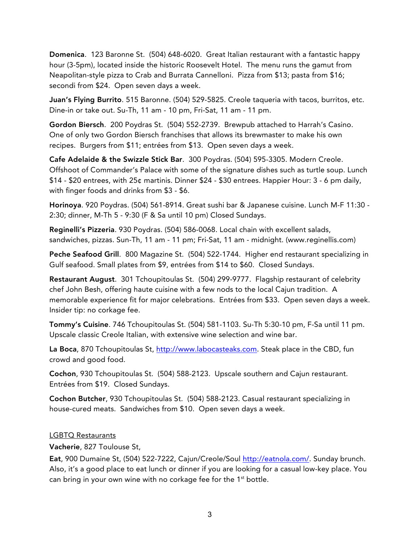Domenica. 123 Baronne St. (504) 648-6020. Great Italian restaurant with a fantastic happy hour (3-5pm), located inside the historic Roosevelt Hotel. The menu runs the gamut from Neapolitan-style pizza to Crab and Burrata Cannelloni. Pizza from \$13; pasta from \$16; secondi from \$24. Open seven days a week.

Juan's Flying Burrito. 515 Baronne. (504) 529-5825. Creole taqueria with tacos, burritos, etc. Dine-in or take out. Su-Th, 11 am - 10 pm, Fri-Sat, 11 am - 11 pm.

Gordon Biersch. 200 Poydras St. (504) 552-2739. Brewpub attached to Harrah's Casino. One of only two Gordon Biersch franchises that allows its brewmaster to make his own recipes. Burgers from \$11; entrées from \$13. Open seven days a week.

Cafe Adelaide & the Swizzle Stick Bar. 300 Poydras. (504) 595-3305. Modern Creole. Offshoot of Commander's Palace with some of the signature dishes such as turtle soup. Lunch \$14 - \$20 entrees, with 25¢ martinis. Dinner \$24 - \$30 entrees. Happier Hour: 3 - 6 pm daily, with finger foods and drinks from \$3 - \$6.

Horinoya. 920 Poydras. (504) 561-8914. Great sushi bar & Japanese cuisine. Lunch M-F 11:30 - 2:30; dinner, M-Th 5 - 9:30 (F & Sa until 10 pm) Closed Sundays.

Reginelli's Pizzeria. 930 Poydras. (504) 586-0068. Local chain with excellent salads, sandwiches, pizzas. Sun-Th, 11 am - 11 pm; Fri-Sat, 11 am - midnight. (www.reginellis.com)

Peche Seafood Grill. 800 Magazine St. (504) 522-1744. Higher end restaurant specializing in Gulf seafood. Small plates from \$9, entrées from \$14 to \$60. Closed Sundays.

Restaurant August. 301 Tchoupitoulas St. (504) 299-9777. Flagship restaurant of celebrity chef John Besh, offering haute cuisine with a few nods to the local Cajun tradition. A memorable experience fit for major celebrations. Entrées from \$33. Open seven days a week. Insider tip: no corkage fee.

Tommy's Cuisine. 746 Tchoupitoulas St. (504) 581-1103. Su-Th 5:30-10 pm, F-Sa until 11 pm. Upscale classic Creole Italian, with extensive wine selection and wine bar.

La Boca, 870 Tchoupitoulas St, http://www.labocasteaks.com. Steak place in the CBD, fun crowd and good food.

Cochon, 930 Tchoupitoulas St. (504) 588-2123. Upscale southern and Cajun restaurant. Entrées from \$19. Closed Sundays.

Cochon Butcher, 930 Tchoupitoulas St. (504) 588-2123. Casual restaurant specializing in house-cured meats. Sandwiches from \$10. Open seven days a week.

#### LGBTQ Restaurants

Vacherie, 827 Toulouse St,

Eat, 900 Dumaine St, (504) 522-7222, Cajun/Creole/Soul http://eatnola.com/. Sunday brunch. Also, it's a good place to eat lunch or dinner if you are looking for a casual low-key place. You can bring in your own wine with no corkage fee for the 1<sup>st</sup> bottle.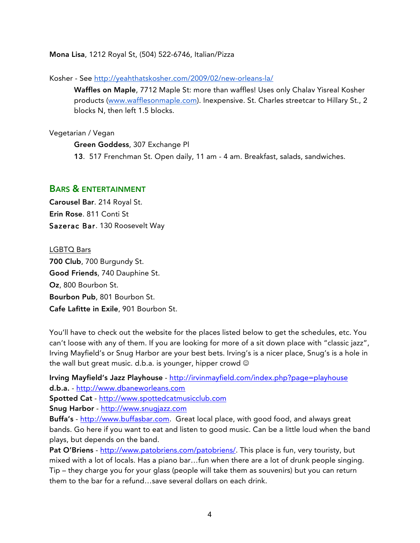Mona Lisa, 1212 Royal St, (504) 522-6746, Italian/Pizza

Kosher - See http://yeahthatskosher.com/2009/02/new-orleans-la/

Waffles on Maple, 7712 Maple St: more than waffles! Uses only Chalav Yisreal Kosher products (www.wafflesonmaple.com). Inexpensive. St. Charles streetcar to Hillary St., 2 blocks N, then left 1.5 blocks.

#### Vegetarian / Vegan

Green Goddess, 307 Exchange Pl

13. 517 Frenchman St. Open daily, 11 am - 4 am. Breakfast, salads, sandwiches.

#### BARS & ENTERTAINMENT

Carousel Bar. 214 Royal St. Erin Rose. 811 Conti St Sazerac Bar. 130 Roosevelt Way

LGBTQ Bars 700 Club, 700 Burgundy St. Good Friends, 740 Dauphine St. Oz, 800 Bourbon St. Bourbon Pub, 801 Bourbon St. Cafe Lafitte in Exile, 901 Bourbon St.

You'll have to check out the website for the places listed below to get the schedules, etc. You can't loose with any of them. If you are looking for more of a sit down place with "classic jazz", Irving Mayfield's or Snug Harbor are your best bets. Irving's is a nicer place, Snug's is a hole in the wall but great music. d.b.a. is younger, hipper crowd  $\odot$ 

Irving Mayfield's Jazz Playhouse - http://irvinmayfield.com/index.php?page=playhouse d.b.a. - http://www.dbaneworleans.com Spotted Cat - http://www.spottedcatmusicclub.com

Snug Harbor - http://www.snugjazz.com

Buffa's - http://www.buffasbar.com. Great local place, with good food, and always great bands. Go here if you want to eat and listen to good music. Can be a little loud when the band plays, but depends on the band.

Pat O'Briens - http://www.patobriens.com/patobriens/. This place is fun, very touristy, but mixed with a lot of locals. Has a piano bar…fun when there are a lot of drunk people singing. Tip – they charge you for your glass (people will take them as souvenirs) but you can return them to the bar for a refund…save several dollars on each drink.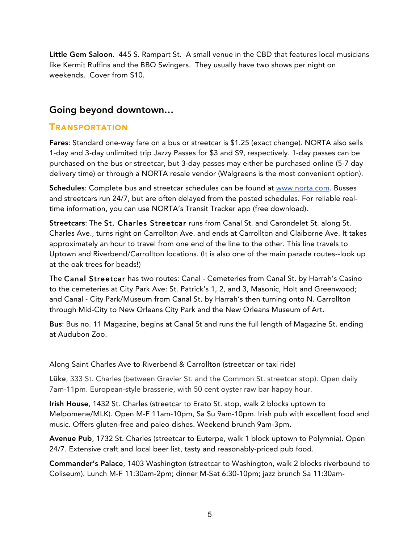Little Gem Saloon. 445 S. Rampart St. A small venue in the CBD that features local musicians like Kermit Ruffins and the BBQ Swingers. They usually have two shows per night on weekends. Cover from \$10.

### Going beyond downtown…

### TRANSPORTATION

Fares: Standard one-way fare on a bus or streetcar is \$1.25 (exact change). NORTA also sells 1-day and 3-day unlimited trip Jazzy Passes for \$3 and \$9, respectively. 1-day passes can be purchased on the bus or streetcar, but 3-day passes may either be purchased online (5-7 day delivery time) or through a NORTA resale vendor (Walgreens is the most convenient option).

Schedules: Complete bus and streetcar schedules can be found at www.norta.com. Busses and streetcars run 24/7, but are often delayed from the posted schedules. For reliable realtime information, you can use NORTA's Transit Tracker app (free download).

Streetcars: The St. Charles Streetcar runs from Canal St. and Carondelet St. along St. Charles Ave., turns right on Carrollton Ave. and ends at Carrollton and Claiborne Ave. It takes approximately an hour to travel from one end of the line to the other. This line travels to Uptown and Riverbend/Carrollton locations. (It is also one of the main parade routes--look up at the oak trees for beads!)

The Canal Streetcar has two routes: Canal - Cemeteries from Canal St. by Harrah's Casino to the cemeteries at City Park Ave: St. Patrick's 1, 2, and 3, Masonic, Holt and Greenwood; and Canal - City Park/Museum from Canal St. by Harrah's then turning onto N. Carrollton through Mid-City to New Orleans City Park and the New Orleans Museum of Art.

Bus: Bus no. 11 Magazine, begins at Canal St and runs the full length of Magazine St. ending at Audubon Zoo.

### Along Saint Charles Ave to Riverbend & Carrollton (streetcar or taxi ride)

Lüke, 333 St. Charles (between Gravier St. and the Common St. streetcar stop). Open daily 7am-11pm. European-style brasserie, with 50 cent oyster raw bar happy hour.

Irish House, 1432 St. Charles (streetcar to Erato St. stop, walk 2 blocks uptown to Melpomene/MLK). Open M-F 11am-10pm, Sa Su 9am-10pm. Irish pub with excellent food and music. Offers gluten-free and paleo dishes. Weekend brunch 9am-3pm.

Avenue Pub, 1732 St. Charles (streetcar to Euterpe, walk 1 block uptown to Polymnia). Open 24/7. Extensive craft and local beer list, tasty and reasonably-priced pub food.

Commander's Palace, 1403 Washington (streetcar to Washington, walk 2 blocks riverbound to Coliseum). Lunch M-F 11:30am-2pm; dinner M-Sat 6:30-10pm; jazz brunch Sa 11:30am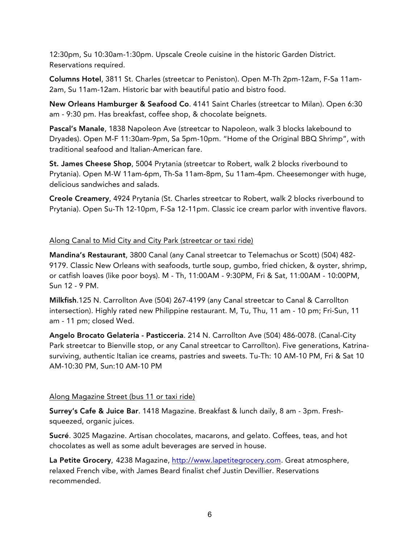12:30pm, Su 10:30am-1:30pm. Upscale Creole cuisine in the historic Garden District. Reservations required.

Columns Hotel, 3811 St. Charles (streetcar to Peniston). Open M-Th 2pm-12am, F-Sa 11am-2am, Su 11am-12am. Historic bar with beautiful patio and bistro food.

New Orleans Hamburger & Seafood Co. 4141 Saint Charles (streetcar to Milan). Open 6:30 am - 9:30 pm. Has breakfast, coffee shop, & chocolate beignets.

Pascal's Manale, 1838 Napoleon Ave (streetcar to Napoleon, walk 3 blocks lakebound to Dryades). Open M-F 11:30am-9pm, Sa 5pm-10pm. "Home of the Original BBQ Shrimp", with traditional seafood and Italian-American fare.

St. James Cheese Shop, 5004 Prytania (streetcar to Robert, walk 2 blocks riverbound to Prytania). Open M-W 11am-6pm, Th-Sa 11am-8pm, Su 11am-4pm. Cheesemonger with huge, delicious sandwiches and salads.

Creole Creamery, 4924 Prytania (St. Charles streetcar to Robert, walk 2 blocks riverbound to Prytania). Open Su-Th 12-10pm, F-Sa 12-11pm. Classic ice cream parlor with inventive flavors.

#### Along Canal to Mid City and City Park (streetcar or taxi ride)

Mandina's Restaurant, 3800 Canal (any Canal streetcar to Telemachus or Scott) (504) 482- 9179. Classic New Orleans with seafoods, turtle soup, gumbo, fried chicken, & oyster, shrimp, or catfish loaves (like poor boys). M - Th, 11:00AM - 9:30PM, Fri & Sat, 11:00AM - 10:00PM, Sun 12 - 9 PM.

Milkfish.125 N. Carrollton Ave (504) 267-4199 (any Canal streetcar to Canal & Carrollton intersection). Highly rated new Philippine restaurant. M, Tu, Thu, 11 am - 10 pm; Fri-Sun, 11 am - 11 pm; closed Wed.

Angelo Brocato Gelateria - Pasticceria. 214 N. Carrollton Ave (504) 486-0078. (Canal-City Park streetcar to Bienville stop, or any Canal streetcar to Carrollton). Five generations, Katrinasurviving, authentic Italian ice creams, pastries and sweets. Tu-Th: 10 AM-10 PM, Fri & Sat 10 AM-10:30 PM, Sun:10 AM-10 PM

#### Along Magazine Street (bus 11 or taxi ride)

Surrey's Cafe & Juice Bar. 1418 Magazine. Breakfast & lunch daily, 8 am - 3pm. Freshsqueezed, organic juices.

Sucré. 3025 Magazine. Artisan chocolates, macarons, and gelato. Coffees, teas, and hot chocolates as well as some adult beverages are served in house.

La Petite Grocery, 4238 Magazine, http://www.lapetitegrocery.com. Great atmosphere, relaxed French vibe, with James Beard finalist chef Justin Devillier. Reservations recommended.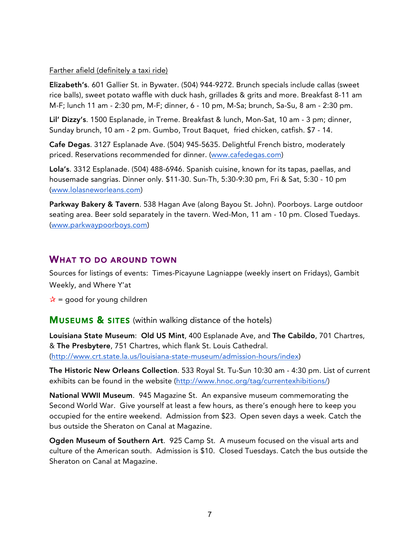#### Farther afield (definitely a taxi ride)

Elizabeth's. 601 Gallier St. in Bywater. (504) 944-9272. Brunch specials include callas (sweet rice balls), sweet potato waffle with duck hash, grillades & grits and more. Breakfast 8-11 am M-F; lunch 11 am - 2:30 pm, M-F; dinner, 6 - 10 pm, M-Sa; brunch, Sa-Su, 8 am - 2:30 pm.

Lil' Dizzy's. 1500 Esplanade, in Treme. Breakfast & lunch, Mon-Sat, 10 am - 3 pm; dinner, Sunday brunch, 10 am - 2 pm. Gumbo, Trout Baquet, fried chicken, catfish. \$7 - 14.

Cafe Degas. 3127 Esplanade Ave. (504) 945-5635. Delightful French bistro, moderately priced. Reservations recommended for dinner. (www.cafedegas.com)

Lola's. 3312 Esplanade. (504) 488-6946. Spanish cuisine, known for its tapas, paellas, and housemade sangrias. Dinner only. \$11-30. Sun-Th, 5:30-9:30 pm, Fri & Sat, 5:30 - 10 pm (www.lolasneworleans.com)

Parkway Bakery & Tavern. 538 Hagan Ave (along Bayou St. John). Poorboys. Large outdoor seating area. Beer sold separately in the tavern. Wed-Mon, 11 am - 10 pm. Closed Tuedays. (www.parkwaypoorboys.com)

### WHAT TO DO AROUND TOWN

Sources for listings of events: Times-Picayune Lagniappe (weekly insert on Fridays), Gambit Weekly, and Where Y'at

 $\mathbf{\hat{x}}$  = good for young children

**MUSEUMS & SITES** (within walking distance of the hotels)

Louisiana State Museum: Old US Mint, 400 Esplanade Ave, and The Cabildo, 701 Chartres, & The Presbytere, 751 Chartres, which flank St. Louis Cathedral. (http://www.crt.state.la.us/louisiana-state-museum/admission-hours/index)

The Historic New Orleans Collection. 533 Royal St. Tu-Sun 10:30 am - 4:30 pm. List of current exhibits can be found in the website (http://www.hnoc.org/tag/currentexhibitions/)

National WWII Museum. 945 Magazine St. An expansive museum commemorating the Second World War. Give yourself at least a few hours, as there's enough here to keep you occupied for the entire weekend. Admission from \$23. Open seven days a week. Catch the bus outside the Sheraton on Canal at Magazine.

Ogden Museum of Southern Art. 925 Camp St. A museum focused on the visual arts and culture of the American south. Admission is \$10. Closed Tuesdays. Catch the bus outside the Sheraton on Canal at Magazine.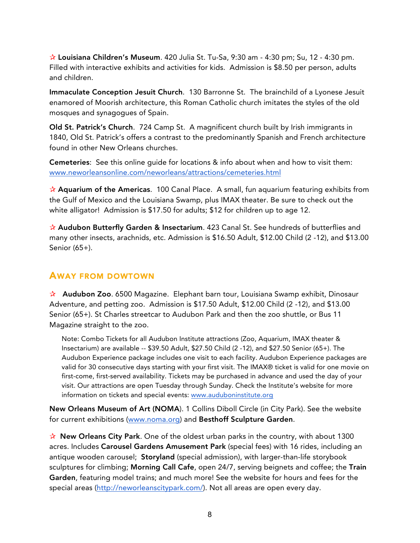✰ Louisiana Children's Museum. 420 Julia St. Tu-Sa, 9:30 am - 4:30 pm; Su, 12 - 4:30 pm. Filled with interactive exhibits and activities for kids. Admission is \$8.50 per person, adults and children.

Immaculate Conception Jesuit Church. 130 Barronne St. The brainchild of a Lyonese Jesuit enamored of Moorish architecture, this Roman Catholic church imitates the styles of the old mosques and synagogues of Spain.

Old St. Patrick's Church. 724 Camp St. A magnificent church built by Irish immigrants in 1840, Old St. Patrick's offers a contrast to the predominantly Spanish and French architecture found in other New Orleans churches.

Cemeteries: See this online guide for locations & info about when and how to visit them: www.neworleansonline.com/neworleans/attractions/cemeteries.html

 $\hat{\mathbf{x}}$  Aquarium of the Americas. 100 Canal Place. A small, fun aquarium featuring exhibits from the Gulf of Mexico and the Louisiana Swamp, plus IMAX theater. Be sure to check out the white alligator! Admission is \$17.50 for adults; \$12 for children up to age 12.

✰ Audubon Butterfly Garden & Insectarium. 423 Canal St. See hundreds of butterflies and many other insects, arachnids, etc. Admission is \$16.50 Adult, \$12.00 Child (2 -12), and \$13.00 Senior (65+).

### AWAY FROM DOWTOWN

✰ Audubon Zoo. 6500 Magazine. Elephant barn tour, Louisiana Swamp exhibit, Dinosaur Adventure, and petting zoo. Admission is \$17.50 Adult, \$12.00 Child (2 -12), and \$13.00 Senior (65+). St Charles streetcar to Audubon Park and then the zoo shuttle, or Bus 11 Magazine straight to the zoo.

Note: Combo Tickets for all Audubon Institute attractions (Zoo, Aquarium, IMAX theater & Insectarium) are available -- \$39.50 Adult, \$27.50 Child (2 -12), and \$27.50 Senior (65+). The Audubon Experience package includes one visit to each facility. Audubon Experience packages are valid for 30 consecutive days starting with your first visit. The IMAX® ticket is valid for one movie on first-come, first-served availability. Tickets may be purchased in advance and used the day of your visit. Our attractions are open Tuesday through Sunday. Check the Institute's website for more information on tickets and special events: www.auduboninstitute.org

New Orleans Museum of Art (NOMA). 1 Collins Diboll Circle (in City Park). See the website for current exhibitions (www.noma.org) and Besthoff Sculpture Garden.

 $\mathbf{\hat{x}}$  New Orleans City Park. One of the oldest urban parks in the country, with about 1300 acres. Includes Carousel Gardens Amusement Park (special fees) with 16 rides, including an antique wooden carousel; Storyland (special admission), with larger-than-life storybook sculptures for climbing; Morning Call Cafe, open 24/7, serving beignets and coffee; the Train Garden, featuring model trains; and much more! See the website for hours and fees for the special areas (http://neworleanscitypark.com/). Not all areas are open every day.